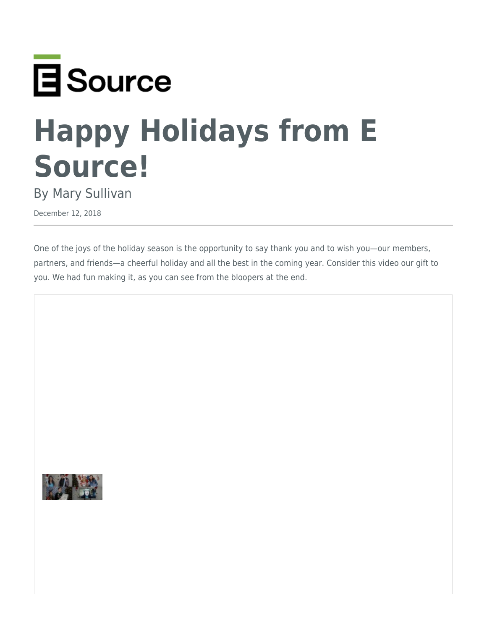

## **Happy Holidays from E Source!**

By Mary Sullivan

December 12, 2018

One of the joys of the holiday season is the opportunity to say thank you and to wish you—our members, partners, and friends—a cheerful holiday and all the best in the coming year. Consider this video our gift to you. We had fun making it, as you can see from the bloopers at the end.

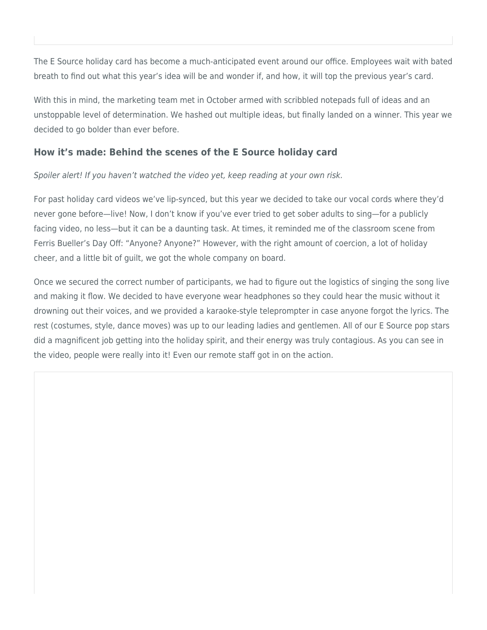The E Source holiday card has become a much-anticipated event around our office. Employees wait with bated breath to find out what this year's idea will be and wonder if, and how, it will top the previous year's card.

With this in mind, the marketing team met in October armed with scribbled notepads full of ideas and an unstoppable level of determination. We hashed out multiple ideas, but finally landed on a winner. This year we decided to go bolder than ever before.

## **How it's made: Behind the scenes of the E Source holiday card**

Spoiler alert! If you haven't watched the video yet, keep reading at your own risk.

For past holiday card videos we've lip-synced, but this year we decided to take our vocal cords where they'd never gone before—live! Now, I don't know if you've ever tried to get sober adults to sing—for a publicly facing video, no less—but it can be a daunting task. At times, it reminded me of the classroom scene from Ferris Bueller's Day Off: "Anyone? Anyone?" However, with the right amount of coercion, a lot of holiday cheer, and a little bit of guilt, we got the whole company on board.

Once we secured the correct number of participants, we had to figure out the logistics of singing the song live and making it flow. We decided to have everyone wear headphones so they could hear the music without it drowning out their voices, and we provided a karaoke-style teleprompter in case anyone forgot the lyrics. The rest (costumes, style, dance moves) was up to our leading ladies and gentlemen. All of our E Source pop stars did a magnificent job getting into the holiday spirit, and their energy was truly contagious. As you can see in the video, people were really into it! Even our remote staff got in on the action.